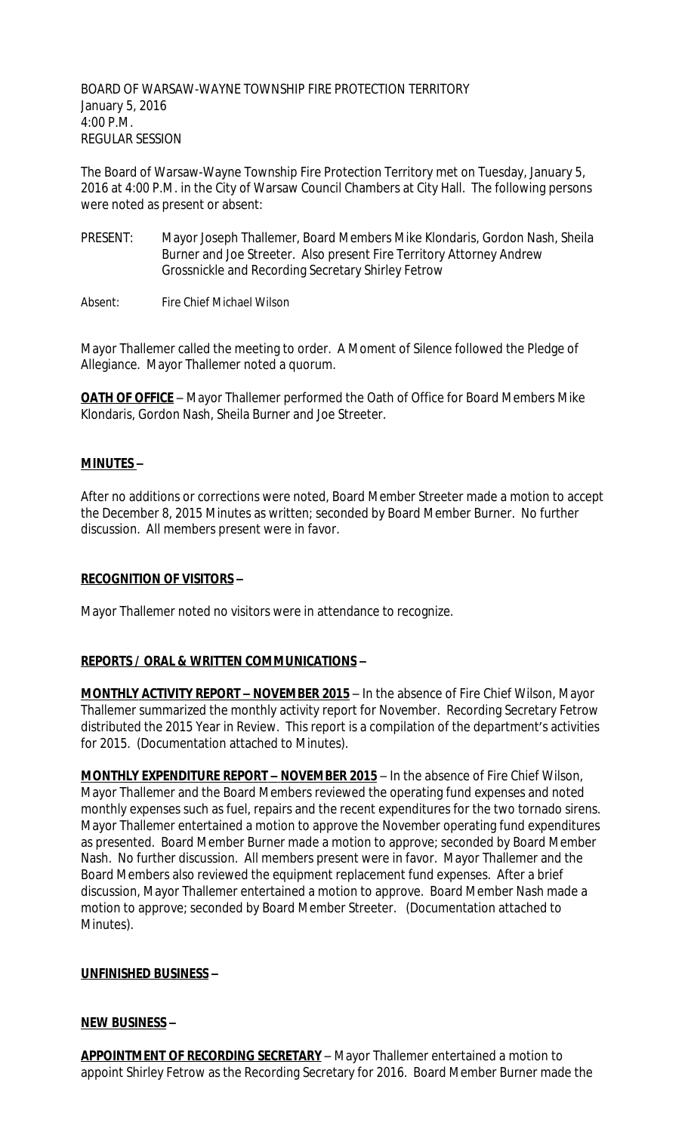BOARD OF WARSAW-WAYNE TOWNSHIP FIRE PROTECTION TERRITORY January 5, 2016 4:00 P.M. REGULAR SESSION

The Board of Warsaw-Wayne Township Fire Protection Territory met on Tuesday, January 5, 2016 at 4:00 P.M. in the City of Warsaw Council Chambers at City Hall. The following persons were noted as present or absent:

PRESENT: Mayor Joseph Thallemer, Board Members Mike Klondaris, Gordon Nash, Sheila Burner and Joe Streeter. Also present Fire Territory Attorney Andrew Grossnickle and Recording Secretary Shirley Fetrow

Absent: Fire Chief Michael Wilson

Mayor Thallemer called the meeting to order. A Moment of Silence followed the Pledge of Allegiance. Mayor Thallemer noted a quorum.

**OATH OF OFFICE** - Mayor Thallemer performed the Oath of Office for Board Members Mike Klondaris, Gordon Nash, Sheila Burner and Joe Streeter.

## **MINUTES –**

After no additions or corrections were noted, Board Member Streeter made a motion to accept the December 8, 2015 Minutes as written; seconded by Board Member Burner. No further discussion. All members present were in favor.

### **RECOGNITION OF VISITORS –**

Mayor Thallemer noted no visitors were in attendance to recognize.

### **REPORTS / ORAL & WRITTEN COMMUNICATIONS –**

**MONTHLY ACTIVITY REPORT - NOVEMBER 2015** - In the absence of Fire Chief Wilson, Mayor Thallemer summarized the monthly activity report for November. Recording Secretary Fetrow distributed the 2015 Year in Review. This report is a compilation of the department's activities for 2015. (Documentation attached to Minutes).

**MONTHLY EXPENDITURE REPORT – NOVEMBER 2015** – In the absence of Fire Chief Wilson, Mayor Thallemer and the Board Members reviewed the operating fund expenses and noted monthly expenses such as fuel, repairs and the recent expenditures for the two tornado sirens. Mayor Thallemer entertained a motion to approve the November operating fund expenditures as presented. Board Member Burner made a motion to approve; seconded by Board Member Nash. No further discussion. All members present were in favor. Mayor Thallemer and the Board Members also reviewed the equipment replacement fund expenses. After a brief discussion, Mayor Thallemer entertained a motion to approve. Board Member Nash made a motion to approve; seconded by Board Member Streeter. (Documentation attached to Minutes).

### **UNFINISHED BUSINESS –**

### **NEW BUSINESS –**

**APPOINTMENT OF RECORDING SECRETARY** – Mayor Thallemer entertained a motion to appoint Shirley Fetrow as the Recording Secretary for 2016. Board Member Burner made the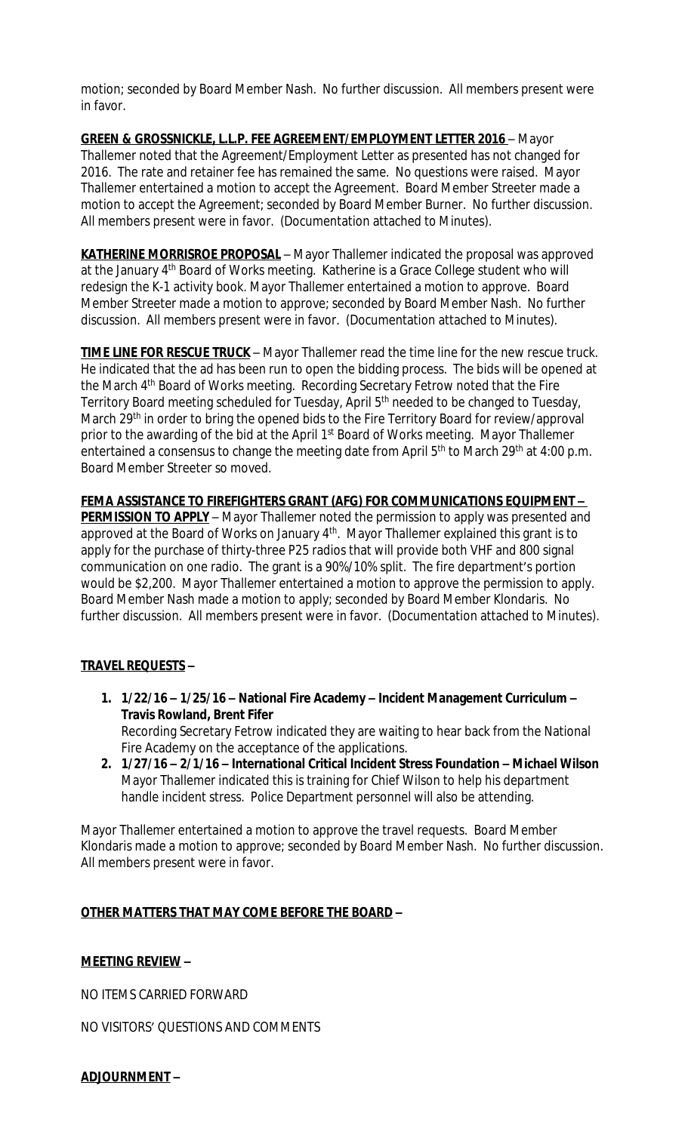motion; seconded by Board Member Nash. No further discussion. All members present were in favor.

**GREEN & GROSSNICKLE, L.L.P. FEE AGREEMENT/EMPLOYMENT LETTER 2016** – Mayor Thallemer noted that the Agreement/Employment Letter as presented has not changed for 2016. The rate and retainer fee has remained the same. No questions were raised. Mayor Thallemer entertained a motion to accept the Agreement. Board Member Streeter made a motion to accept the Agreement; seconded by Board Member Burner. No further discussion. All members present were in favor. (Documentation attached to Minutes).

**KATHERINE MORRISROE PROPOSAL** – Mayor Thallemer indicated the proposal was approved at the January 4<sup>th</sup> Board of Works meeting. Katherine is a Grace College student who will redesign the K-1 activity book. Mayor Thallemer entertained a motion to approve. Board Member Streeter made a motion to approve; seconded by Board Member Nash. No further discussion. All members present were in favor. (Documentation attached to Minutes).

**TIME LINE FOR RESCUE TRUCK** – Mayor Thallemer read the time line for the new rescue truck. He indicated that the ad has been run to open the bidding process. The bids will be opened at the March 4<sup>th</sup> Board of Works meeting. Recording Secretary Fetrow noted that the Fire Territory Board meeting scheduled for Tuesday, April 5<sup>th</sup> needed to be changed to Tuesday, March 29<sup>th</sup> in order to bring the opened bids to the Fire Territory Board for review/approval prior to the awarding of the bid at the April 1<sup>st</sup> Board of Works meeting. Mayor Thallemer entertained a consensus to change the meeting date from April 5<sup>th</sup> to March 29<sup>th</sup> at 4:00 p.m. Board Member Streeter so moved.

**FEMA ASSISTANCE TO FIREFIGHTERS GRANT (AFG) FOR COMMUNICATIONS EQUIPMENT – PERMISSION TO APPLY** – Mayor Thallemer noted the permission to apply was presented and approved at the Board of Works on January 4<sup>th</sup>. Mayor Thallemer explained this grant is to apply for the purchase of thirty-three P25 radios that will provide both VHF and 800 signal communication on one radio. The grant is a 90%/10% split. The fire department's portion would be \$2,200. Mayor Thallemer entertained a motion to approve the permission to apply. Board Member Nash made a motion to apply; seconded by Board Member Klondaris. No further discussion. All members present were in favor. (Documentation attached to Minutes).

# **TRAVEL REQUESTS –**

- **1. 1/22/16 – 1/25/16 – National Fire Academy – Incident Management Curriculum – Travis Rowland, Brent Fifer** Recording Secretary Fetrow indicated they are waiting to hear back from the National Fire Academy on the acceptance of the applications.
- **2. 1/27/16 – 2/1/16 – International Critical Incident Stress Foundation – Michael Wilson** Mayor Thallemer indicated this is training for Chief Wilson to help his department handle incident stress. Police Department personnel will also be attending.

Mayor Thallemer entertained a motion to approve the travel requests. Board Member Klondaris made a motion to approve; seconded by Board Member Nash. No further discussion. All members present were in favor.

## **OTHER MATTERS THAT MAY COME BEFORE THE BOARD –**

## **MEETING REVIEW –**

NO ITEMS CARRIED FORWARD

NO VISITORS' QUESTIONS AND COMMENTS

## **ADJOURNMENT –**